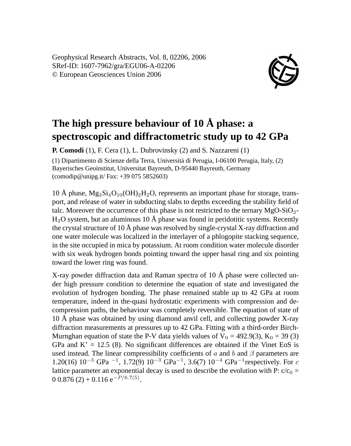Geophysical Research Abstracts, Vol. 8, 02206, 2006 SRef-ID: 1607-7962/gra/EGU06-A-02206 © European Geosciences Union 2006



## **The high pressure behaviour of 10 Å phase: a spectroscopic and diffractometric study up to 42 GPa**

**P. Comodi** (1), F. Cera (1), L. Dubrovinsky (2) and S. Nazzareni (1)

(1) Dipartimento di Scienze della Terra, Università di Perugia, I-06100 Perugia, Italy, (2) Bayerisches Geoinstitut, Universitat Bayreuth, D-95440 Bayreuth, Germany (comodip@unipg.it/ Fax: +39 075 5852603)

10 Å phase,  $Mg_3Si_4O_{10}(OH)_2H_2O$ , represents an important phase for storage, transport, and release of water in subducting slabs to depths exceeding the stability field of talc. Moreover the occurrence of this phase is not restricted to the ternary  $MgO-SiO<sub>2</sub>$ - $H<sub>2</sub>O$  system, but an aluminous 10 Å phase was found in peridotitic systems. Recently the crystal structure of 10 Å phase was resolved by single-crystal X-ray diffraction and one water molecule was localized in the interlayer of a phlogopite stacking sequence, in the site occupied in mica by potassium. At room condition water molecule disorder with six weak hydrogen bonds pointing toward the upper basal ring and six pointing toward the lower ring was found.

X-ray powder diffraction data and Raman spectra of 10 Å phase were collected under high pressure condition to determine the equation of state and investigated the evolution of hydrogen bonding. The phase remained stable up to 42 GPa at room temperature, indeed in the-quasi hydrostatic experiments with compression and decompression paths, the behaviour was completely reversible. The equation of state of 10 Å phase was obtained by using diamond anvil cell, and collecting powder X-ray diffraction measurements at pressures up to 42 GPa. Fitting with a third-order Birch-Murnghan equation of state the P-V data yields values of  $V_0 = 492.9(3)$ ,  $K_0 = 39(3)$ GPa and  $K' = 12.5$  (8). No significant differences are obtained if the Vinet EoS is used instead. The linear compressibility coefficients of a and b and  $\beta$  parameters are 1.20(16) 10<sup>-3</sup> GPa<sup>-1</sup>, 1.72(9) 10<sup>-3</sup> GPa<sup>-1</sup>, 3.6(7) 10<sup>-4</sup> GPa<sup>-1</sup> respectively. For c lattice parameter an exponential decay is used to describe the evolution with P:  $c/c_0$  =  $0.0876(2) + 0.116 e^{-P/6.7(5)}$ .